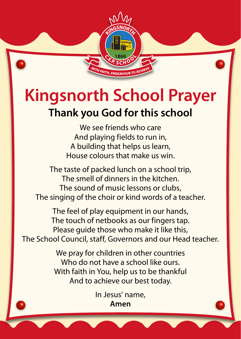## **Kingsnorth School Prayer Thank you God for this school**

**AITH, ENDEAVOL** 

We see friends who care And playing fields to run in, A building that helps us learn, House colours that make us win.

The taste of packed lunch on a school trip, The smell of dinners in the kitchen. The sound of music lessons or clubs, The singing of the choir or kind words of a teacher.

The feel of play equipment in our hands, The touch of netbooks as our fingers tap. Please guide those who make it like this, The School Council, staff, Governors and our Head teacher.

> We pray for children in other countries Who do not have a school like ours. With faith in You, help us to be thankful And to achieve our best today.

> > In Jesus' name, **Amen**